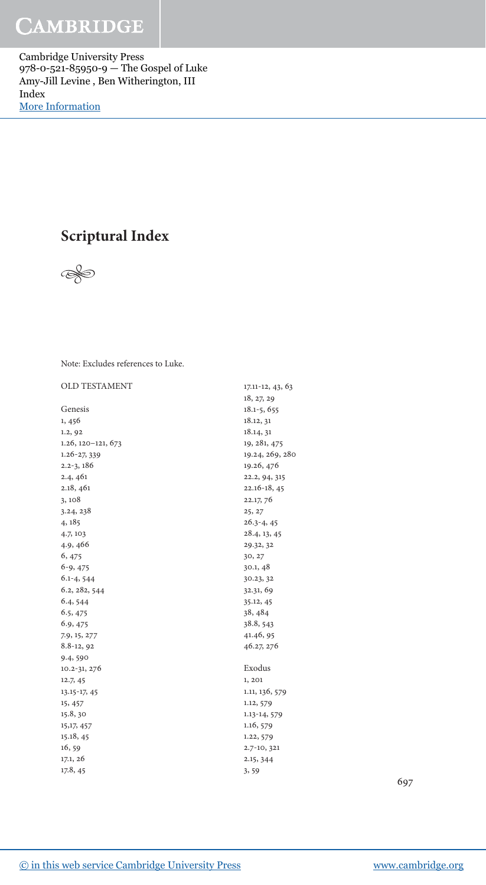Cambridge University Press 978-0-521-85950-9 — The Gospel of Luke Amy-Jill Levine , Ben Witherington, III Index [More Information](www.cambridge.org/9780521859509)

## **Scriptural Index**



Note: Excludes references to Luke.

### OLD TESTAMENT

| OLD TESTAMENT                | $17.11 - 12, 43, 63$ |
|------------------------------|----------------------|
|                              | 18, 27, 29           |
| Genesis                      | $18.1 - 5, 655$      |
| 1, 456                       | 18.12, 31            |
| 1.2, 92                      | 18.14, 31            |
| $1.26$ , $120 - 121$ , $673$ | 19, 281, 475         |
| $1.26 - 27,339$              | 19.24, 269, 280      |
| $2.2 - 3, 186$               | 19.26, 476           |
| 2.4,461                      | 22.2, 94, 315        |
| 2.18, 461                    | $22.16 - 18,45$      |
| 3,108                        | 22.17, 76            |
| 3.24, 238                    | 25, 27               |
| 4, 185                       | $26.3 - 4, 45$       |
| 4.7, 103                     | 28.4, 13, 45         |
| 4.9, 466                     | 29.32, 32            |
| 6, 475                       | 30, 27               |
| $6-9, 475$                   | 30.1, 48             |
| $6.1 - 4, 544$               | 30.23, 32            |
| 6.2, 282, 544                | 32.31, 69            |
| 6.4, 544                     | 35.12, 45            |
| 6.5, 475                     | 38, 484              |
| 6.9, 475                     | 38.8, 543            |
| 7.9, 15, 277                 | 41.46, 95            |
| $8.8 - 12, 92$               | 46.27, 276           |
| 9.4, 590                     |                      |
| 10.2-31, 276                 | Exodus               |
| 12.7, 45                     | 1, 201               |
| 13.15-17, 45                 | 1.11, 136, 579       |
| 15, 457                      | 1.12, 579            |
| 15.8, 30                     | 1.13-14, 579         |
| 15, 17, 457                  | 1.16, 579            |
| 15.18, 45                    | 1.22, 579            |
| 16, 59                       | 2.7-10, 321          |
| 17.1, 26                     | 2.15, 344            |
| 17.8, 45                     | 3, 59                |

697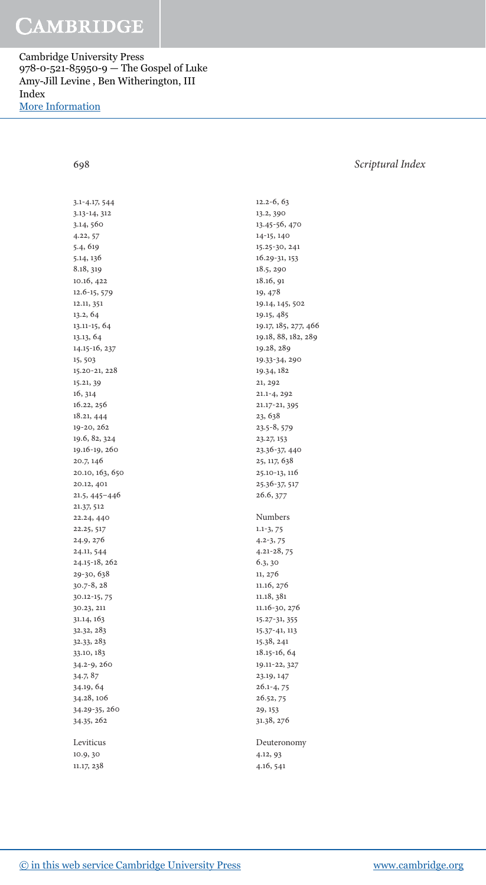Cambridge University Press 978-0-521-85950-9 — The Gospel of Luke Amy-Jill Levine , Ben Witherington, III Index [More Information](www.cambridge.org/9780521859509)

698 Scriptural Index

| $3.1 - 4.17, 544$ |
|-------------------|
| 3.13-14, 312      |
| 3.14, 560         |
| 4.22, 57          |
| 5.4, 619          |
| 5.14, 136         |
| 8.18, 319         |
| 10.16, 422        |
| 12.6-15, 579      |
| 12.11, 351        |
|                   |
| 13.2, 64          |
| 13.11-15, 64      |
| 13.13, 64         |
| 14.15-16, 237     |
| 15, 503           |
| 15.20-21, 228     |
| 15.21, 39         |
| 16, 314           |
| 16.22, 256        |
| 18.21, 444        |
| 19-20, 262        |
| 19.6, 82, 324     |
| 19.16-19, 260     |
| 20.7, 146         |
| 20.10, 163, 650   |
| 20.12, 401        |
| 21.5, 445-446     |
| 21.37, 512        |
| 22.24, 440        |
| 22.25, 517        |
| 24.9, 276         |
|                   |
| 24.11, 544        |
| 24.15-18, 262     |
| 29-30, 638        |
| 30.7-8, 28        |
| 30.12-15, 75      |
| 30.23, 211        |
| 31.14, 163        |
| 32.32, 283        |
| 32.33, 283        |
| 33.10, 183        |
| 34.2-9, 260       |
| 34.7, 87          |
| 34.19, 64         |
| 34.28, 106        |
| 34.29-35, 260     |
| 34.35, 262        |
|                   |
| Leviticus         |
| 10.9, 30          |
| 11.17, 238        |
|                   |

 $12.2 - 6, 63$ 13.2, 390 13.45-56, 470 14-15, 140 15.25-30, 241  $16.29 - 31, 153$  18.5 , 290 18.16, 91 19, 478 19.14, 145, 502 19.15 , 485 19.17, 185, 277, 466 19.18, 88, 182, 289 19.28, 289 19.33-34, 290 19.34, 182 21, 292 21.1-4, 292 21.17-21, 395 23, 638 23.5-8, 579 23.27, 153 23.36-37, 440 25, 117, 638 25.10-13, 116 25.36-37, 517 26.6, 377 Numbers  $1.1-3, 75$  $4.2 - 3, 75$  $4.21 - 28, 75$ 6.3, 30 11, 276 11.16, 276 11.18, 381 11.16-30, 276 15.27-31, 355 15.37-41, 113 15.38 , 241 18.15-16, 64 19.11-22, 327 23.19, 147  $26.1 - 4, 75$ 26.52, 75 29, 153 31.38 , 276 Deuteronomy 4.12, 93

4.16 , 541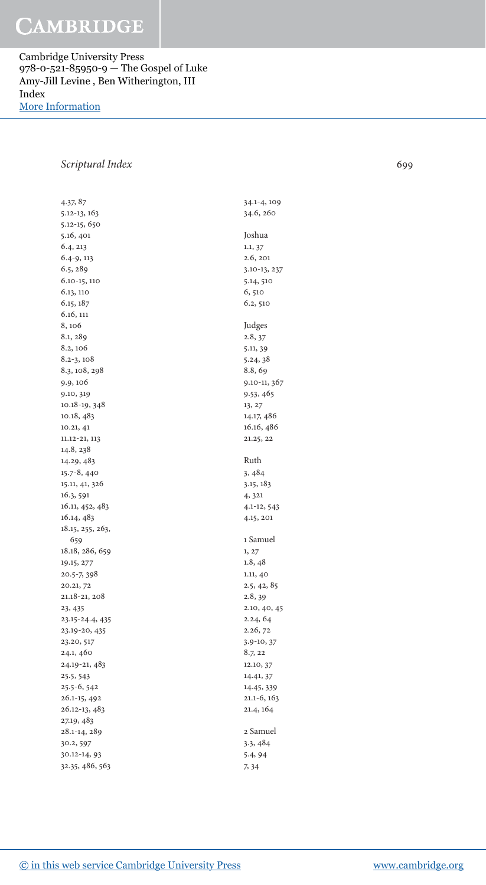Cambridge University Press 978-0-521-85950-9 — The Gospel of Luke Amy-Jill Levine , Ben Witherington, III Index [More Information](www.cambridge.org/9780521859509)

### Scriptural Index 699

4.37, 87 5.12-13, 163 5.12-15, 650 5.16, 401 6.4, 213  $6.4 - 9, 113$  6.5 , 289  $6.10 - 15, 110$ 6.13, 110 6.15, 187 6.16 , 111 8, 106 8.1, 289 8.2, 106  $8.2 - 3, 108$ 8.3, 108, 298 9.9, 106 9.10, 319 10.18-19, 348 10.18, 483 10.21 , 41 11.12-21, 113 14.8, 238 14.29, 483 15.7-8, 440 15.11, 41, 326 16.3, 591 16.11, 452, 483 16.14, 483 18.15, 255, 263, 659 18.18, 286, 659 19.15 , 277 20.5-7, 398 20.21, 72 21.18-21, 208 23, 435 23.15-24.4, 435 23.19-20, 435 23.20, 517 24.1 , 460 24.19-21, 483 25.5 , 543 25.5-6, 542 26.1-15, 492 26.12-13, 483 27.19, 483 28.1-14, 289 30.2, 597 30.12-14, 93 32.35, 486, 563

| 34.1-4, 109<br>34.6, 260                                                                                                                                                                                    |
|-------------------------------------------------------------------------------------------------------------------------------------------------------------------------------------------------------------|
| Joshua<br>1.1, 37<br>2.6, 201<br>$3.10 - 13, 237$<br>5.14, 510<br>6,510<br>6.2, 510                                                                                                                         |
| Judges<br>2.8, 37<br>5.11, 39<br>5.24, 38<br>8.8, 69<br>$9.10 - 11, 367$<br>9.53, 465<br>13, 27<br>14.17, 486<br>16.16, 486<br>21.25, 22                                                                    |
| Ruth<br>3, 484<br>3.15, 183<br>4, 321<br>4.1-12, 543<br>4.15, 201                                                                                                                                           |
| 1 Samuel<br>1, 27<br>1.8, 48<br>1.11, 40<br>2.5, 42, 85<br>2.8, 39<br>2.10, 40, 45<br>2.24, 64<br>2.26, 72<br>$3.9 - 10, 37$<br>8.7, 22<br>12.10, 37<br>14.41, 37<br>14.45, 339<br>21.1-6, 163<br>21.4, 164 |
| 2 Samuel<br>3.3, 484<br>5.4, 94                                                                                                                                                                             |

7, 34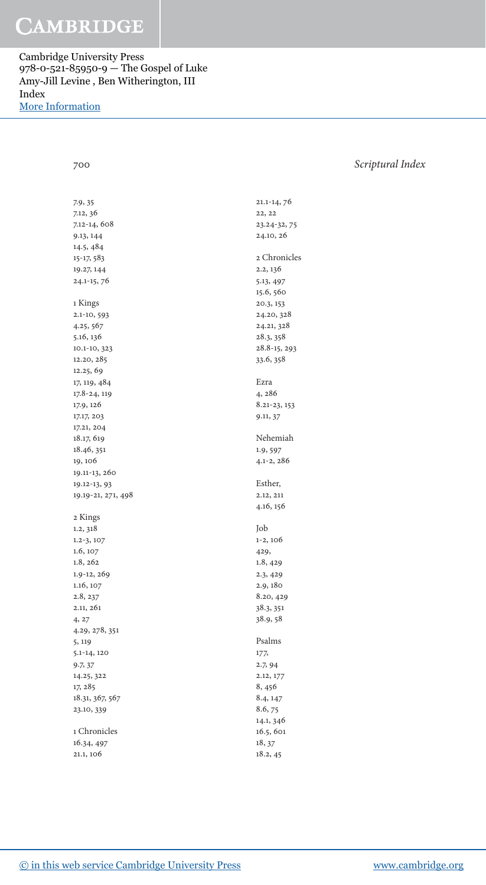Cambridge University Press 978-0-521-85950-9 — The Gospel of Luke Amy-Jill Levine , Ben Witherington, III Index [More Information](www.cambridge.org/9780521859509)

### 700 Scriptural Index

| 7.9, 35                 |
|-------------------------|
| 7.12, 36                |
| 7.12-14, 608            |
| 9.13, 144               |
|                         |
| 14.5, 484               |
| 15-17, 583              |
| 19.27, 144              |
| 24.1-15, 76             |
| 1 Kings                 |
| 2.1-10, 593             |
|                         |
| 4.25, 567               |
| 5.16, 136               |
| 10.1-10, 323            |
| 12.20, 285              |
| 12.25, 69               |
| 17, 119, 484            |
| 17.8-24, 119            |
| 17.9, 126               |
| 17.17, 203              |
| 17.21, 204              |
| 18.17, 619              |
|                         |
| 18.46, 351              |
| 19, 106                 |
| 19.11-13, 260           |
| 19.12-13, 93            |
| 19.19-21, 271, 498      |
| 2 Kings                 |
|                         |
| 1.2, 318                |
| $1.2 - 3, 107$          |
| 1.6, 107                |
| 1.8, 262                |
| 1.9-12, 269             |
| 1.16, 107               |
| 2.8, 237                |
| 2.11, 261               |
| 4, 27                   |
| 4.29, 278, 351          |
| 5, 119                  |
|                         |
| 5.1-14, 120             |
| 9.7, 37                 |
| 14.25, 322              |
| 17, 285                 |
| 18.31, 367, 567         |
| 23.10, 339              |
| 1 Chronicles            |
|                         |
|                         |
| 16.34, 497<br>21.1, 106 |

| 21.1-14, 76                                                                                                                           |
|---------------------------------------------------------------------------------------------------------------------------------------|
| 22, 22                                                                                                                                |
| 23.24-32, 75                                                                                                                          |
| 24.10, 26                                                                                                                             |
| 2 Chronicles<br>2.2, 136<br>5.13, 497<br>15.6, 560<br>20.3, 153<br>24.20, 328<br>24.21, 328<br>28.3, 358<br>28.8-15, 293<br>33.6, 358 |
| Ezra                                                                                                                                  |
|                                                                                                                                       |
| 4, 286<br>8.21-23, 153                                                                                                                |
| 9.11, 37                                                                                                                              |
|                                                                                                                                       |
| Nehemiah                                                                                                                              |
| 1.9, 597<br>$4.1 - 2, 286$                                                                                                            |
|                                                                                                                                       |
| Esther,<br>2.12, 211<br>4.16, 156                                                                                                     |
| Job                                                                                                                                   |
| $1-2, 106$                                                                                                                            |
| 429,                                                                                                                                  |
| 1.8, 429                                                                                                                              |
| 2.3, 429                                                                                                                              |
| 2.9, 180                                                                                                                              |
| 8.20, 429                                                                                                                             |
| 38.3, 351                                                                                                                             |
| 38.9, 58                                                                                                                              |
| Psalms                                                                                                                                |
| 177,                                                                                                                                  |
| 2.7, 94                                                                                                                               |
| 2.12, 177                                                                                                                             |
| 8, 456                                                                                                                                |
| 8.4, 147<br>8.6, 75                                                                                                                   |
| 14.1, 346                                                                                                                             |
| 16.5, 601                                                                                                                             |
| 18, 37                                                                                                                                |
|                                                                                                                                       |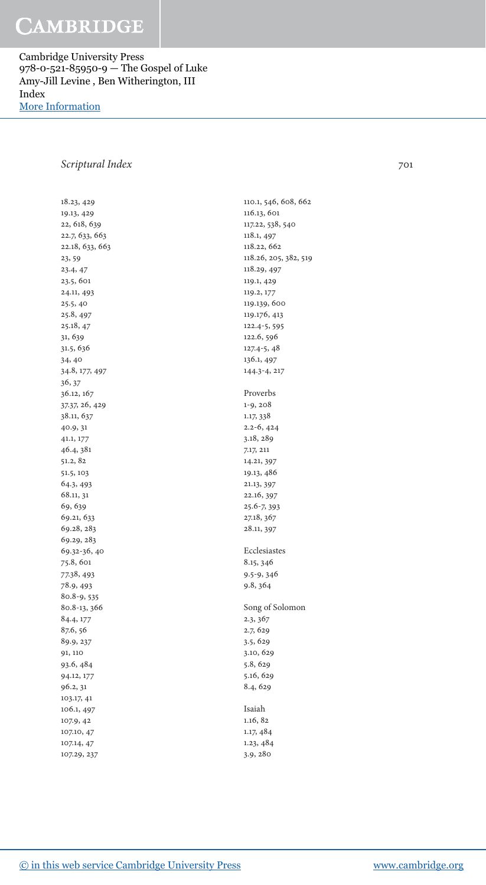Cambridge University Press 978-0-521-85950-9 — The Gospel of Luke Amy-Jill Levine , Ben Witherington, III Index [More Information](www.cambridge.org/9780521859509)

### Scriptural Index 701

18.23, 429 19.13 , 429 22, 618, 639 22.7, 633, 663 22.18, 633, 663 23, 59 23.4, 47 23.5 , 601 24.11, 493 25.5 , 40 25.8, 497  $25.18, 47$ 31, 639 31.5 , 636  $34,40$ 34.8, 177, 497 36, 37 36.12, 167 37.37, 26, 429 38.11, 637 40.9, 31 41.1 , 177 46.4 , 381 51.2, 82 51.5 , 103 64.3 , 493 68.11, 31 69, 639 69.21, 633 69.28, 283 69.29, 283 69.32-36, 40 75.8, 601 77.38 , 493 78.9 , 493 80.8-9, 535 80.8-13, 366 84.4, 177 87.6, 56 89.9, 237 91, 110 93.6 , 484 94.12, 177 96.2, 31 103.17 , 41 106.1, 497 107.9 , 42 107.10, 47 107.14, 47 107.29, 237

110.1, 546, 608, 662 116.13, 601 117.22, 538, 540 118.1, 497 118.22, 662 118.26, 205, 382, 519 118.29, 497 119.1 , 429 119.2, 177 119.139, 600 119.176, 413  $122.4 - 5, 595$ 122.6, 596  $127.4 - 5, 48$ 136.1, 497 144.3-4, 217 Proverbs  $1 - 9, 208$ 1.17, 338  $2.2 - 6, 424$ 3.18, 289 7.17 , 211 14.21, 397 19.13 , 486 21.13 , 397 22.16, 397 25.6-7, 393 27.18, 367 28.11, 397 Ecclesiastes 8.15, 346 9.5-9, 346 9.8, 364 Song of Solomon 2.3, 367 2.7, 629 3.5 , 629 3.10 , 629 5.8, 629 5.16, 629 8.4, 629 Isaiah  $1.16, 82$  1.17 , 484 1.23 , 484

3.9 , 280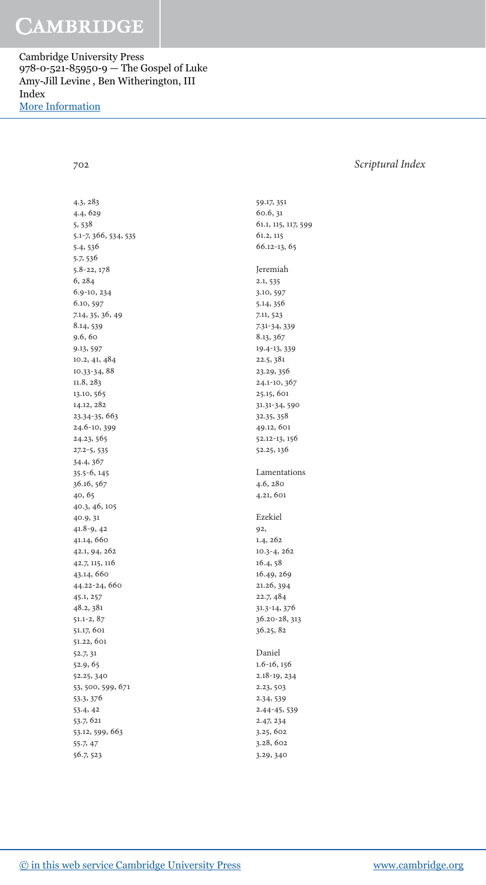Cambridge University Press 978-0-521-85950-9 — The Gospel of Luke Amy-Jill Levine , Ben Witherington, III Index [More Information](www.cambridge.org/9780521859509)

### 702 Scriptural Index

 4.3 , 283 4.4 , 629 5, 538 5.1-7, 366, 534, 535 5.4, 536 5.7, 536 5.8-22, 178 6, 284 6.9-10, 234 6.10, 597 7.14, 35, 36, 49 8.14, 539  $9.6, 60$ 9.13, 597 10.2, 41, 484 10.33-34, 88 11.8, 283 13.10, 565 14.12, 282 23.34-35, 663 24.6-10, 399 24.23, 565  $27.2 - 5, 535$ 34.4, 367 35.5-6, 145 36.16, 567 40, 65 40.3 , 46 , 105 40.9 , 31  $41.8-9, 42$  41.14 , 660 42.1 , 94 , 262 42.7 , 115 , 116 43.14, 660 44.22-24, 660 45.1 , 257 48.2 , 381 51.1-2, 87 51.17, 601 51.22 , 601 52.7, 31 52.9 , 65 52.25 , 340 53, 500, 599, 671 53.3 , 376 53.4, 42 53.7 , 621 53.12, 599, 663  $55.7, 47$ 56.7, 523

66.12-13, 65 Jeremiah  $2.1, 535$ 3.10, 597 5.14, 356 7.11, 523 7.31-34, 339 8.13, 367 19.4-13, 339 22.5 , 381 23.29, 356 24.1-10, 367 25.15 , 601 31.31-34, 590 32.35 , 358 49.12, 601 52.12-13, 156 52.25 , 136 Lamentations 4.6 , 280 4.21 , 601 Ezekiel  $92,$  $1.4, 262$ 10.3-4, 262 16.4, 58 16.49, 269 21.26 , 394 22.7 , 484 31.3-14, 376

 59.17 , 351 60.6, 31 61.1, 115, 117, 599 61.2, 115

36.20-28, 313 36.25, 82 Daniel  $1.6 - 16, 156$ 2.18-19, 234 2.23, 503 2.34, 539 2.44-45, 539 2.47, 234 3.25 , 602

 3.28 , 602 3.29, 340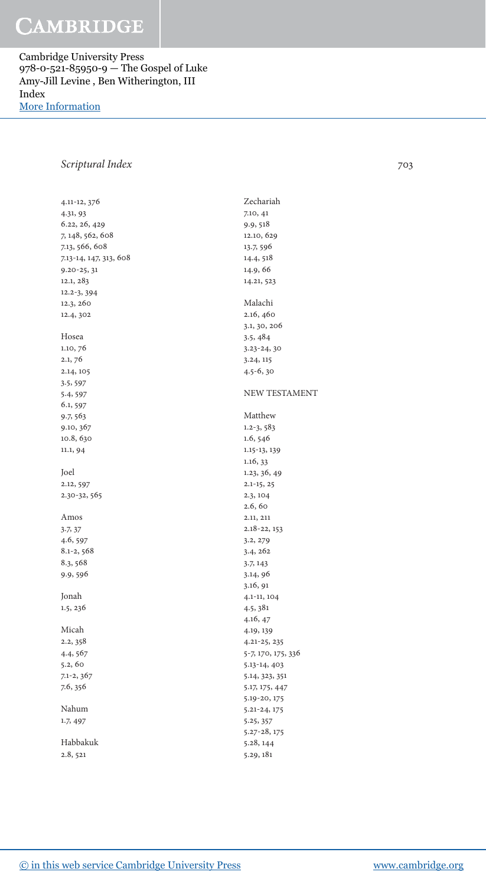Cambridge University Press 978-0-521-85950-9 — The Gospel of Luke Amy-Jill Levine , Ben Witherington, III Index [More Information](www.cambridge.org/9780521859509)

### Scriptural Index 703

4.11-12, 376 4.31 , 93 6.22, 26, 429 7, 148, 562, 608 7.13, 566, 608 7.13-14, 147, 313, 608  $9.20 - 25, 31$ 12.1, 283 12.2-3, 394 12.3, 260 12.4, 302 Hosea 1.10, 76  $2.1, 76$ 2.14, 105 3.5 , 597 5.4, 597 6.1, 597 9.7 , 563 9.10, 367 10.8, 630 11.1, 94 Joel 2.12, 597 2.30-32, 565 Amos 3.7  $\frac{37}{7}$ 4.6, 597  $8.1 - 2, 568$ 8.3, 568 9.9, 596 Jonah 1.5 , 236 Micah 2.2, 358 4.4, 567  $5.2, 60$  $7.1 - 2, 367$ 7.6, 356 Nahum 1.7, 497 Habbakuk 2.8, 521 Zechariah 7.10 , 41 9.9 , 518 12.10, 629 13.7, 596 14.4, 518 14.9 , 66 14.21, 523 Malachi 2.16, 460 3.1, 30, 206 3.5 , 484  $3.23 - 24, 30$ 3.24, 115  $4.5 - 6, 30$  NEW TESTAMENT Matthew  $1.2 - 3, 583$ 1.6, 546 1.15-13, 139  $1.16, 33$ 1.23, 36, 49  $2.1 - 15, 25$  2.3 , 104 2.6, 60 2.11 , 211  $2.18 - 22, 153$ 3.2, 279 3.4, 262 3.7 , 143 3.14, 96 3.16, 91 4.1-11, 104 4.5 , 381 4.16, 47 4.19 , 139 4.21-25, 235 5-7, 170, 175, 336 5.13-14, 403 5.14, 323, 351 5.17 , 175 , 447 5.19-20, 175 5.21-24, 175 5.25 , 357 5.27-28, 175 5.28 , 144 5.29, 181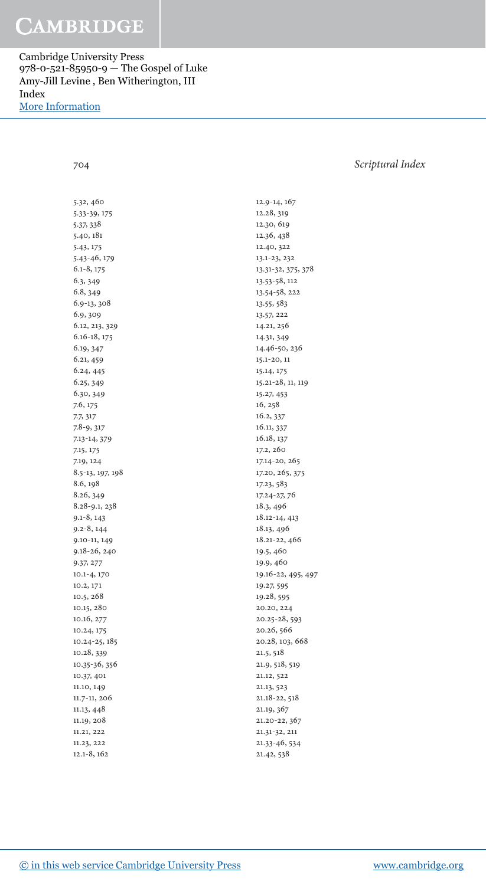Cambridge University Press 978-0-521-85950-9 — The Gospel of Luke Amy-Jill Levine , Ben Witherington, III Index [More Information](www.cambridge.org/9780521859509)

5.32, 460 5.33- 39 , 175 5.37 , 338 5.40 , 181 5.43 , 175 5.43- 46 , 179  $6.1 - 8, 175$ 6.3, 349 6.8, 349 6.9-13, 308 6.9, 309 6.12, 213, 329  $6.16 - 18, 175$ 6.19, 347 6.21, 459 6.24, 445 6.25, 349 6.30, 349 7.6, 175 7.7, 317 7.8-9, 317 7.13-14, 379 7.15 , 175 7.19 , 124 8.5-13, 197, 198 8.6 , 198 8.26, 349 8.28-9.1, 238  $9.1 - 8, 143$  $9.2 - 8, 144$ 9.10-11, 149 9.18-26, 240 9.37 , 277 10.1-4, 170 10.2 , 171 10.5 , 268 10.15 , 280 10.16, 277 10.24, 175 10.24-25, 185 10.28, 339 10.35-36, 356 10.37 , 401 11.10, 149 11.7-11, 206 11.13 , 448 11.19, 208 11.21, 222 11.23 , 222  $12.1 - 8, 162$ 

12.9-14, 167 12.28 , 319 12.30, 619 12.36 , 438 12.40, 322 13.1-23, 232 13.31-32, 375, 378 13.53- 58 , 112 13.54-58, 222 13.55 , 583 13.57 , 222 14.21, 256 14.31, 349 14.46-50, 236  $15.1 - 20, 11$ 15.14, 175 15.21-28, 11, 119 15.27 , 453 16, 258 16.2, 337 16.11, 337 16.18, 137 17.2, 260 17.14-20, 265 17.20, 265, 375 17.23 , 583 17.24-27, 76 18.3 , 496 18.12-14, 413 18.13 , 496 18.21-22, 466 19.5, 460 19.9, 460 19.16-22, 495, 497 19.27, 595 19.28, 595 20.20 , 224 20.25-28, 593 20.26, 566 20.28, 103, 668 21.5 , 518 21.9, 518, 519 21.12, 522 21.13, 523 21.18-22, 518 21.19, 367 21.20-22, 367 21.31-32, 211 21.33- 46 , 534

21.42, 538

### 704 Scriptural Index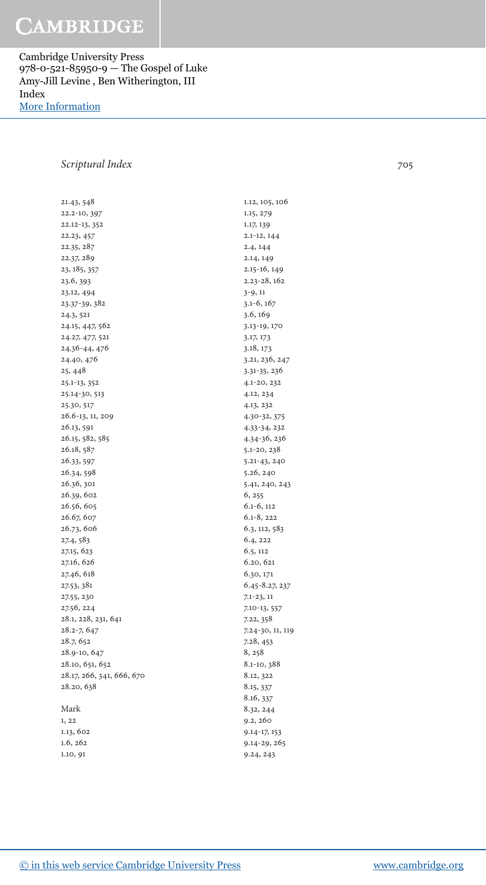Cambridge University Press 978-0-521-85950-9 — The Gospel of Luke Amy-Jill Levine , Ben Witherington, III Index [More Information](www.cambridge.org/9780521859509)

### Scriptural Index 705

21.43, 548 22.2-10, 397 22.12-13, 352 22.23 , 457 22.35, 287 22.37, 289 23, 185, 357 23.6, 393 23.12, 494 23.37-39, 382 24.3 , 521 24.15, 447, 562 24.27, 477, 521 24.36-44, 476 24.40, 476 25, 448 25.1-13, 352 25.14-30, 513 25.30, 517 26.6-13, 11, 209 26.13, 591 26.15, 582, 585 26.18, 587 26.33 , 597 26.34, 598 26.36, 301 26.39, 602 26.56, 605 26.67, 607 26.73, 606 27.4, 583 27.15 , 623 27.16, 626 27.46, 618 27.53 , 381 27.55 , 230 27.56 , 224 28.1, 228, 231, 641 28.2-7, 647 28.7, 652 28.9-10, 647 28.10, 651, 652 28.17, 266, 341, 666, 670 28.20, 638 Mark  $1, 22$ 

1.13, 602 1.6, 262 1.10, 91

1.12, 105, 106 1.15 , 279 1.17, 139  $2.1 - 12, 144$  $2.4, 144$ 2.14, 149  $2.15 - 16, 149$ 2.23-28, 162  $3 - 9, 11$  $3.1 - 6, 167$ 3.6, 169 3.13-19, 170 3.17 , 173 3.18, 173 3.21, 236, 247 3.31-35, 236 4.1- 20 , 232 4.12, 234 4.13 , 232 4.30-32, 375 4.33-34, 232 4.34- 36 , 236 5.1-20, 238 5.21-43, 240 5.26 , 240 5.41, 240, 243 6, 255  $6.1 - 6, 112$  $6.1 - 8.222$ 6.3, 112, 583  $6.4, 222$ 6.5, 112 6.20, 621 6.30, 171 6.45-8.27, 237  $7.1 - 23, 11$ 7.10-13, 557 7.22, 358 7.24-30, 11, 119 7.28, 453 8, 258 8.1-10, 388 8.12, 322 8.15, 337 8.16, 337 8.32, 244  $9.2, 260$ 9.14-17, 153 9.14-29, 265 9.24, 243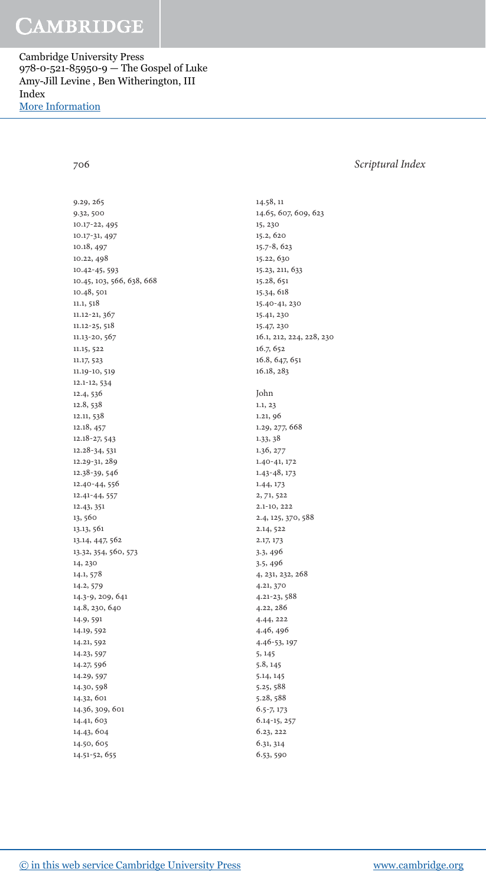Cambridge University Press 978-0-521-85950-9 — The Gospel of Luke Amy-Jill Levine , Ben Witherington, III Index [More Information](www.cambridge.org/9780521859509)

### 706 Scriptural Index

9.29, 265 9.32, 500 10.17-22, 495 10.17-31, 497 10.18, 497 10.22, 498 10.42- 45 , 593 10.45, 103, 566, 638, 668 10.48, 501 11.1, 518 11.12-21, 367 11.12-25, 518 11.13-20, 567 11.15 , 522 11.17, 523 11.19-10, 519  $12.1 - 12, 534$ 12.4, 536 12.8, 538 12.11, 538 12.18, 457 12.18-27, 543  $12.28 - 34,531$ 12.29-31, 289 12.38-39, 546 12.40-44, 556 12.41-44, 557 12.43, 351 13, 560 13.13 , 561 13.14, 447, 562 13.32, 354, 560, 573 14, 230 14.1, 578 14.2, 579 14.3-9, 209, 641 14.8, 230, 640 14.9, 591 14.19, 592 14.21, 592 14.23, 597 14.27, 596 14.29, 597 14.30, 598 14.32, 601 14.36, 309, 601 14.41, 603 14.43 , 604 14.50, 605 14.51-52, 655

 14.58 , 11 14.65, 607, 609, 623 15 , 230 15.2 , 620 15.7-8, 623 15.22, 630 15.23, 211, 633 15.28, 651 15.34 , 618 15.40-41, 230 15.41, 230 15.47, 230 16.1, 212, 224, 228, 230 16.7, 652 16.8, 647, 651 16.18, 283 John  $1.1, 23$ 1.21, 96 1.29, 277, 668 1.33 , 38 1.36, 277 1.40-41, 172 1.43- 48 , 173 1.44 , 173 2, 71, 522  $2.1 - 10, 222$ 2.4, 125, 370, 588 2.14, 522 2.17 , 173 3.3 , 496 3.5 , 496 4, 231, 232, 268 4.21, 370 4.21-23, 588 4.22 , 286 4.44 , 222 4.46, 496 4.46-53, 197 5, 145 5.8, 145 5.14, 145 5.25 , 588 5.28 , 588 6.5-7, 173 6.14-15, 257 6.23, 222 6.31, 314 6.53, 590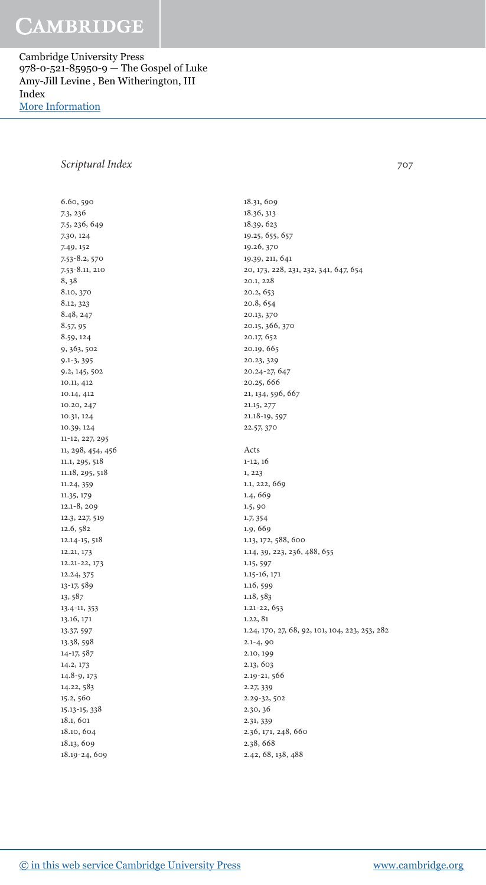Cambridge University Press 978-0-521-85950-9 — The Gospel of Luke Amy-Jill Levine , Ben Witherington, III Index [More Information](www.cambridge.org/9780521859509)

### Scriptural Index 707

6.60, 590 7.3 , 236 7.5 , 236 , 649 7.30 , 124 7.49, 152 7.53-8.2, 570 7.53-8.11, 210 8, 38 8.10, 370 8.12, 323 8.48, 247 8.57, 95 8.59, 124 9, 363, 502 9.1-3, 395 9.2, 145, 502 10.11 , 412 10.14, 412 10.20, 247 10.31, 124 10.39, 124 11-12, 227, 295 11, 298, 454, 456 11.1, 295, 518 11.18, 295, 518 11.24, 359 11.35 , 179 12.1-8, 209 12.3, 227, 519 12.6,  $582$  $12.14 - 15, 518$ 12.21, 173  $12.21 - 22, 173$ 12.24, 375 13-17, 589 13, 587 13.4-11, 353 13.16, 171 13.37, 597 13.38, 598 14-17, 587 14.2 , 173  $14.8 - 9, 173$ 14.22, 583 15.2, 560 15.13-15, 338 18.1, 601 18.10, 604 18.13 , 609 18.19-24, 609

18.31, 609 18.36 , 313 18.39, 623 19.25, 655, 657 19.26, 370 19.39, 211, 641 20 , 173 , 228 , 231 , 232 , 341 , 647 , 654 20.1, 228 20.2, 653 20.8, 654 20.13, 370 20.15, 366, 370 20.17, 652 20.19, 665 20.23, 329 20.24-27, 647 20.25 , 666 21, 134, 596, 667 21.15 , 277 21.18-19, 597 22.57, 370 Acts  $1 - 12$ ,  $16$ 1, 223 1.1, 222, 669 1.4, 669 1.5, 90 1.7, 354 1.9, 669 1.13, 172, 588, 600 1.14, 39, 223, 236, 488, 655 1.15, 597 1.15-16, 171 1.16, 599 1.18, 583 1.21-22, 653 1.22, 81 1.24, 170, 27, 68, 92, 101, 104, 223, 253, 282  $2.1 - 4, 90$ 2.10, 199 2.13, 603 2.19-21, 566 2.27, 339 2.29-32, 502 2.30, 36 2.31, 339 2.36, 171, 248, 660 2.38 , 668 2.42, 68, 138, 488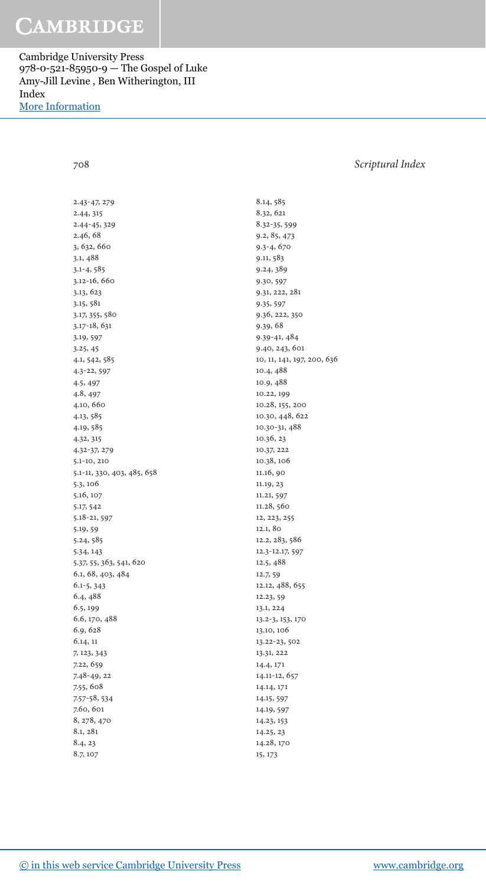Cambridge University Press 978-0-521-85950-9 — The Gospel of Luke Amy-Jill Levine , Ben Witherington, III Index [More Information](www.cambridge.org/9780521859509)

708 Scriptural Index

 2.43- 47 , 279 2.44 , 315 2.44-45, 329 2.46, 68 3, 632, 660 3.1 , 488  $3.1 - 4, 585$ 3.12-16, 660 3.13, 623 3.15, 581 3.17, 355, 580 3.17-18, 631 3.19, 597 3.25 , 45 4.1 , 542 , 585 4.3- 22 , 597 4.5 , 497 4.8 , 497 4.10, 660 4.13 , 585 4.19, 585 4.32, 315 4.32- 37 , 279  $5.1 - 10, 210$ 5.1-11, 330, 403, 485, 658 5.3, 106 5.16, 107 5.17, 542 5.18-21, 597 5.19, 59 5.24, 585 5.34 , 143 5.37, 55, 363, 541, 620 6.1, 68, 403, 484 6.1-5, 343 6.4, 488 6.5, 199 6.6, 170, 488 6.9, 628 6.14 , 11 7 , 123 , 343 7.22, 659 7.48-49, 22 7.55 , 608 7.57-58, 534 7.60, 601 8, 278, 470 8.1, 281 8.4, 23 8.7, 107

8.14, 585 8.32 , 621 8.32-35, 599 9.2, 85, 473 9.3-4, 670 9.11, 583 9.24, 389 9.30 , 597 9.31 , 222 , 281 9.35 , 597 9.36, 222, 350 9.39 , 68 9.39-41, 484 9.40, 243, 601 10, 11, 141, 197, 200, 636 10.4, 488 10.9, 488 10.22, 199 10.28, 155, 200 10.30, 448, 622 10.30-31, 488 10.36, 23 10.37 , 222 10.38, 106 11.16, 90 11.19, 23 11.21, 597 11.28, 560 12, 223, 255 12.1, 80 12.2, 283, 586 12.3-12.17, 597 12.5 , 488 12.7, 59 12.12, 488, 655 12.23, 59 13.1 , 224 13.2-3, 153, 170 13.10, 106 13.22-23, 502 13.31 , 222 14.4 , 171 14.11-12, 657 14.14 , 171 14.15, 597 14.19, 597 14.23 , 153 14.25 , 23 14.28, 170 15 , 173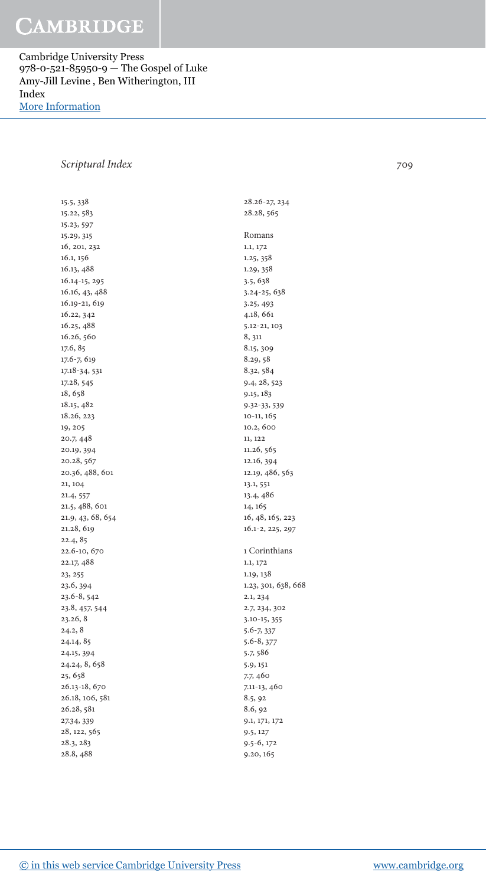Cambridge University Press 978-0-521-85950-9 — The Gospel of Luke Amy-Jill Levine , Ben Witherington, III Index [More Information](www.cambridge.org/9780521859509)

### Scriptural Index 709

 15.5 , 338 15.22, 583 15.23 , 597 15.29 , 315 16, 201, 232 16.1, 156 16.13 , 488 16.14-15, 295 16.16, 43, 488 16.19-21, 619 16.22, 342 16.25 , 488 16.26, 560 17.6, 85 17.6-7, 619 17.18-34, 531 17.28, 545 18, 658 18.15 , 482 18.26 , 223 19, 205 20.7, 448 20.19, 394 20.28, 567 20.36, 488, 601 21, 104 21.4, 557 21.5, 488, 601 21.9, 43, 68, 654 21.28, 619  $22.4, 85$ 22.6-10, 670 22.17, 488 23, 255 23.6, 394 23.6-8, 542 23.8, 457, 544 23.26 , 8  $24.2, 8$ 24.14, 85 24.15 , 394 24, 24, 8, 658 25, 658 26.13-18, 670 26.18, 106, 581 26.28 , 581 27.34, 339 28, 122, 565 28.3 , 283 28.8 , 488

28.26-27, 234 28.28, 565 Romans 1.1 , 172 1.25 , 358 1.29, 358 3.5 , 638 3.24-25, 638 3.25 , 493 4.18 , 661  $5.12 - 21, 103$ 8, 311 8.15, 309 8.29, 58 8.32, 584 9.4, 28, 523 9.15 , 183 9.32-33, 539 10-11, 165 10.2, 600 11 , 122 11.26, 565 12.16, 394 12.19, 486, 563 13.1, 551 13.4 , 486 14, 165 16, 48, 165, 223 16.1-2, 225, 297 1 Corinthians 1.1 , 172 1.19, 138 1.23, 301, 638, 668 2.1, 234 2.7, 234, 302 3.10-15, 355 5.6-7, 337 5.6-8, 377 5.7, 586 5.9 , 151 7.7, 460 7.11-13, 460 8.5, 92 8.6, 92 9.1 , 171 , 172 9.5 , 127 9.5-6, 172

9.20, 165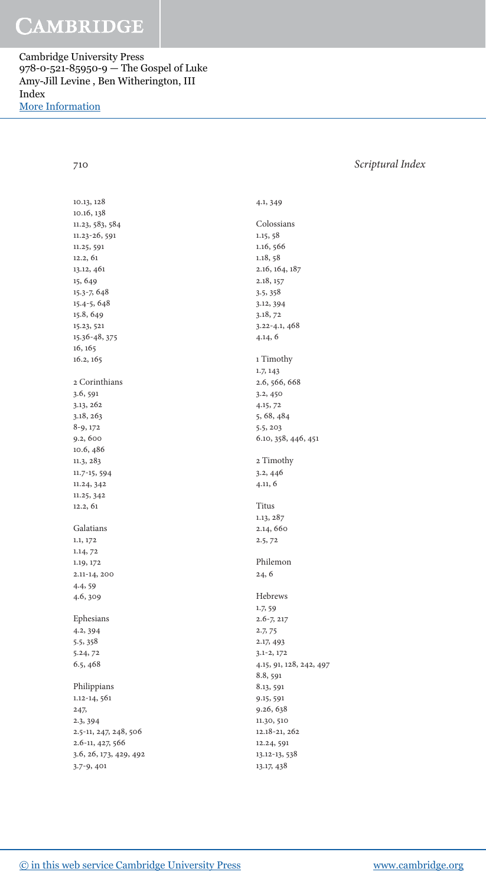Cambridge University Press 978-0-521-85950-9 — The Gospel of Luke Amy-Jill Levine , Ben Witherington, III Index [More Information](www.cambridge.org/9780521859509)

### 710 Scriptural Index

10.13, 128 10.16, 138 11.23, 583, 584 11.23-26, 591 11.25, 591  $12.2, 61$ 13.12, 461 15 , 649 15.3-7, 648 15.4-5, 648 15.8, 649 15.23 , 521 15.36- 48 , 375 16, 165 16.2, 165 2 Corinthians 3.6, 591 3.13 , 262 3.18, 263 8-9, 172 9.2, 600 10.6 , 486 11.3 , 283 11.7-15, 594 11.24, 342 11.25 , 342 12.2 , 61 Galatians 1.1 , 172 1.14, 72 1.19, 172 2.11-14, 200 4.4, 59 4.6, 309 Ephesians 4.2 , 394 5.5 , 358 5.24, 72 6.5 , 468 Philippians 1.12-14, 561 247, 2.3 , 394 2.5-11, 247, 248, 506 2.6-11, 427, 566 3.6 , 26 , 173 , 429 , 492 3.7-9, 401

 4.1 , 349 Colossians 1.15, 58 1.16, 566 1.18, 58 2.16, 164, 187 2.18, 157 3.5 , 358 3.12, 394 3.18, 72 3.22- 4.1 , 468 4.14 , 6 1 Timothy 1.7 , 143 2.6 , 566 , 668 3.2, 450 4.15 , 72 5, 68, 484 5.5 , 203 6.10, 358, 446, 451 2 Timothy  $3.2, 446$  4.11 , 6 Titus 1.13 , 287 2.14, 660  $2.5, 72$  Philemon  $24, 6$  Hebrews 1.7, 59  $2.6 - 7, 217$ 2.7, 75 2.17, 493  $3.1 - 2, 172$ 4.15, 91, 128, 242, 497 8.8, 591 8.13, 591 9.15 , 591 9.26, 638 11.30, 510 12.18-21, 262 12.24, 591 13.12-13, 538 13.17 , 438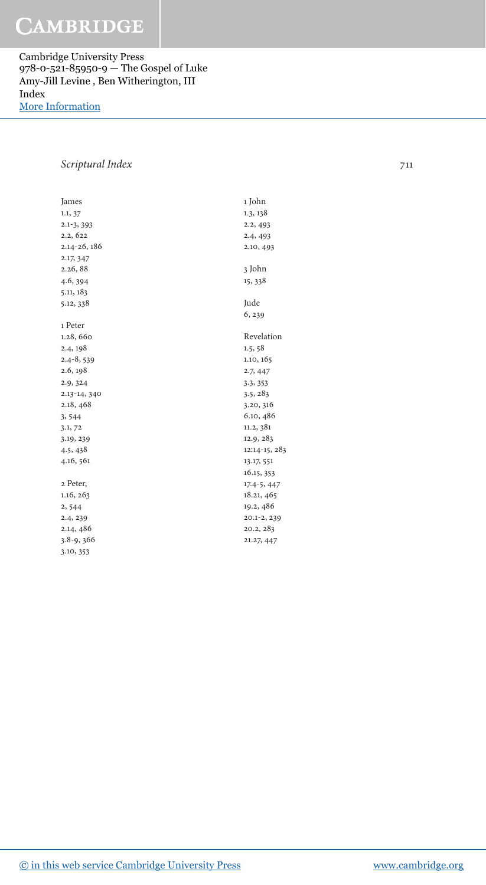Cambridge University Press 978-0-521-85950-9 — The Gospel of Luke Amy-Jill Levine , Ben Witherington, III Index [More Information](www.cambridge.org/9780521859509)

### Scriptural Index 711

| James          |
|----------------|
| 1.1, 37        |
| $2.1 - 3, 393$ |
| 2.2, 622       |
| 2.14-26, 186   |
| 2.17, 347      |
| 2.26,88        |
| 4.6, 394       |
| 5.11, 183      |
| 5.12, 338      |
|                |
| 1 Peter        |
| 1.28, 660      |
| 2.4, 198       |
| $2.4 - 8,539$  |
| 2.6, 198       |
| 2.9, 324       |
| 2.13-14, 340   |
| 2.18, 468      |
| 3,544          |
| 3.1, 72        |
| 3.19, 239      |
| 4.5, 438       |
| 4.16, 561      |
|                |
| 2 Peter,       |
| 1.16, 263      |
| 2,544          |
| 2.4, 239       |
| 2.14, 486      |
| $3.8 - 9,366$  |
| 3.10, 353      |

 1.3 , 138 2.2, 493  $2.4, 493$ 2.10, 493 3 John 15 , 338 Jude 6, 239 Revelation  $1.5, 58$ 1.10, 165 2.7, 447 3.3 , 353 3.5 , 283 3.20, 316 6.10, 486 11.2,  $381$ 12.9, 283 12:14-15, 283 13.17 , 551 16.15 , 353  $17.4 - 5, 447$ 18.21, 465 19.2, 486  $20.1 - 2, 239$  20.2 , 283 21.27 , 447

1 John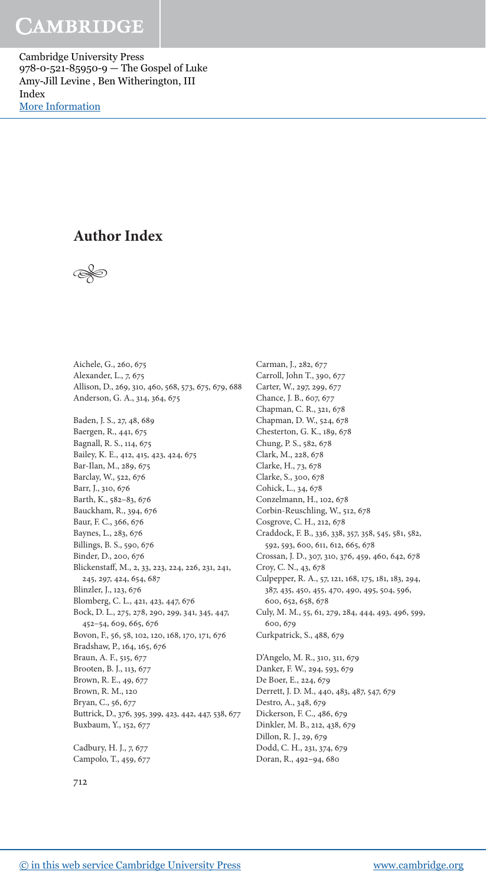Cambridge University Press 978-0-521-85950-9 — The Gospel of Luke Amy-Jill Levine , Ben Witherington, III Index [More Information](www.cambridge.org/9780521859509)

### **Author Index**



Aichele, G., 260, 675 Alexander, L., 7, 675 Allison, D., 269, 310, 460, 568, 573, 675, 679, 688 Anderson, G. A., 314, 364, 675 Baden, J. S., 27 , 48 , 689 Baergen, R., 441, 675 Bagnall, R. S., 114, 675 Bailey, K. E., 412, 415, 423, 424, 675 Bar-Ilan, M., 289, 675 Barclay, W., 522, 676 Barr, J., 310 , 676 Barth, K., 582-83, 676 Bauckham, R., 394, 676 Baur, F. C., 366 , 676 Baynes, L., 283, 676 Billings, B. S., 590, 676 Binder, D., 200, 676 Blickenstaff, M., 2, 33, 223, 224, 226, 231, 241, 245, 297, 424, 654, 687 Blinzler, J., 123, 676 Blomberg, C. L., 421, 423, 447, 676 Bock, D. L., 275, 278, 290, 299, 341, 345, 447, 452-54, 609, 665, 676 Bovon, F., 56 , 58 , 102 , 120 , 168 , 170 , 171 , 676 Bradshaw, P., 164, 165, 676 Braun, A. F., 515, 677 Brooten, B. J., 113, 677 Brown, R. E., 49, 677 Brown, R. M., 120 Bryan, C., 56, 677 Buttrick, D., 376 , 395 , 399 , 423 , 442 , 447 , 538 , 677 Buxbaum, Y., 152, 677

Cadbury, H. J., 7, 677 Campolo, T., 459, 677

Carman, J., 282, 677 Carroll, John T., 390, 677 Carter, W., 297, 299, 677 Chance, J. B., 607, 677 Chapman, C. R., 321, 678 Chapman, D. W., 524, 678 Chesterton, G. K., 189, 678 Chung, P. S., 582, 678 Clark, M., 228, 678 Clarke, H., 73, 678 Clarke, S., 300, 678 Cohick, L., 34, 678 Conzelmann, H., 102, 678 Corbin-Reuschling, W., 512, 678 Cosgrove, C. H., 212, 678 Craddock, F. B., 336, 338, 357, 358, 545, 581, 582, 592, 593, 600, 611, 612, 665, 678 Crossan, J. D., 307 , 310 , 376 , 459 , 460 , 642 , 678 Croy, C. N., 43, 678 Culpepper, R. A., 57, 121, 168, 175, 181, 183, 294, 387, 435, 450, 455, 470, 490, 495, 504, 596, 600, 652, 658, 678 Culy, M. M., 55, 61, 279, 284, 444, 493, 496, 599, 600, 679 Curkpatrick, S., 488 , 679 D'Angelo, M. R., 310, 311, 679 Danker, F. W., 294, 593, 679 De Boer, E., 224, 679 Derrett, J. D. M., 440, 483, 487, 547, 679 Destro, A., 348, 679 Dickerson, F. C., 486, 679 Dinkler, M. B., 212, 438, 679 Dillon, R. J., 29, 679 Dodd, C. H., 231, 374, 679 Doran, R., 492-94, 680

712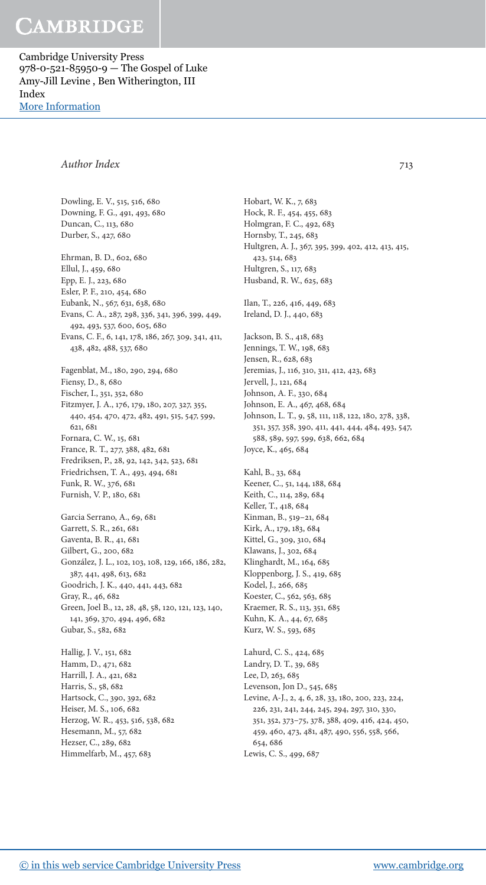Cambridge University Press 978-0-521-85950-9 — The Gospel of Luke Amy-Jill Levine , Ben Witherington, III Index [More Information](www.cambridge.org/9780521859509)

### Author Index 713

Dowling, E. V., 515, 516, 680 Downing, F. G., 491, 493, 680 Duncan, C., 113, 680 Durber, S., 427, 680 Ehrman, B. D., 602, 680 Ellul, J., 459, 680 Epp, E. J., 223, 680 Esler, P. F., 210, 454, 680 Eubank, N., 567, 631, 638, 680 Evans, C. A., 287, 298, 336, 341, 396, 399, 449, 492, 493, 537, 600, 605, 680 Evans, C. F., 6, 141, 178, 186, 267, 309, 341, 411, 438 , 482 , 488 , 537 , 680 Fagenblat, M., 180, 290, 294, 680 Fiensy, D., 8, 680 Fischer, I., 351, 352, 680 Fitzmyer, J. A., 176, 179, 180, 207, 327, 355, 440 , 454 , 470 , 472 , 482 , 491 , 515 , 547 , 599 , 621, 681 Fornara, C. W., 15, 681 France, R. T., 277 , 388 , 482 , 681 Fredriksen, P., 28 , 92 , 142 , 342 , 523 , 681 Friedrichsen, T. A., 493 , 494 , 681 Funk, R. W., 376, 681 Furnish, V. P., 180, 681 Garcia Serrano, A., 69, 681 Garrett, S. R., 261, 681 Gaventa, B. R., 41, 681 Gilbert, G., 200, 682 González, J. L., 102, 103, 108, 129, 166, 186, 282, 387 , 441 , 498 , 613 , 682 Goodrich, J. K., 440, 441, 443, 682 Gray, R., 46, 682 Green, Joel B., 12, 28, 48, 58, 120, 121, 123, 140, 141, 369, 370, 494, 496, 682 Gubar, S., 582, 682 Hallig, J. V., 151, 682 Hamm, D., 471, 682 Harrill, J. A., 421, 682 Harris, S., 58, 682 Hartsock, C., 390, 392, 682 Heiser, M. S., 106, 682 Herzog, W. R., 453, 516, 538, 682 Hesemann, M., 57, 682

Hobart, W. K., 7, 683 Hock, R. F., 454, 455, 683 Holmgran, F. C., 492, 683 Hornsby, T., 245, 683 Hultgren, A. J., 367, 395, 399, 402, 412, 413, 415, 423, 514, 683 Hultgren, S., 117, 683 Husband, R. W., 625, 683 Ilan, T., 226, 416, 449, 683 Ireland, D. J., 440, 683 Jackson, B. S., 418, 683 Jennings, T. W., 198, 683 Jensen, R., 628, 683 Jeremias, J., 116, 310, 311, 412, 423, 683 Jervell, J., 121, 684 Johnson, A. F., 330 , 684 Johnson, E. A., 467, 468, 684 Johnson, L. T., 9, 58, 111, 118, 122, 180, 278, 338, 351 , 357 , 358 , 390 , 411 , 441 , 444 , 484 , 493 , 547 , 588 , 589 , 597 , 599 , 638 , 662 , 684 Joyce, K., 465, 684 Kahl, B., 33, 684 Keener, C., 51, 144, 188, 684 Keith, C., 114, 289, 684 Keller, T., 418, 684 Kinman, B., 519-21, 684 Kirk, A., 179, 183, 684 Kittel, G., 309, 310, 684 Klawans, J., 302, 684 Klinghardt, M., 164, 685 Kloppenborg, J. S., 419, 685 Kodel, J., 266, 685 Koester, C., 562, 563, 685 Kraemer, R. S., 113, 351, 685 Kuhn, K. A., 44, 67, 685 Kurz, W. S., 593, 685 Lahurd, C. S., 424, 685 Landry, D. T., 39, 685 Lee, D, 263, 685 Levenson, Jon D., 545, 685 Levine, A-J., 2, 4, 6, 28, 33, 180, 200, 223, 224, 226, 231, 241, 244, 245, 294, 297, 310, 330, 351, 352, 373-75, 378, 388, 409, 416, 424, 450, 459, 460, 473, 481, 487, 490, 556, 558, 566, 654, 686

Lewis, C. S., 499, 687

### [© in this web service Cambridge University Press](www.cambridge.org) www.cambridge.org

Hezser, C., 289, 682 Himmelfarb, M., 457, 683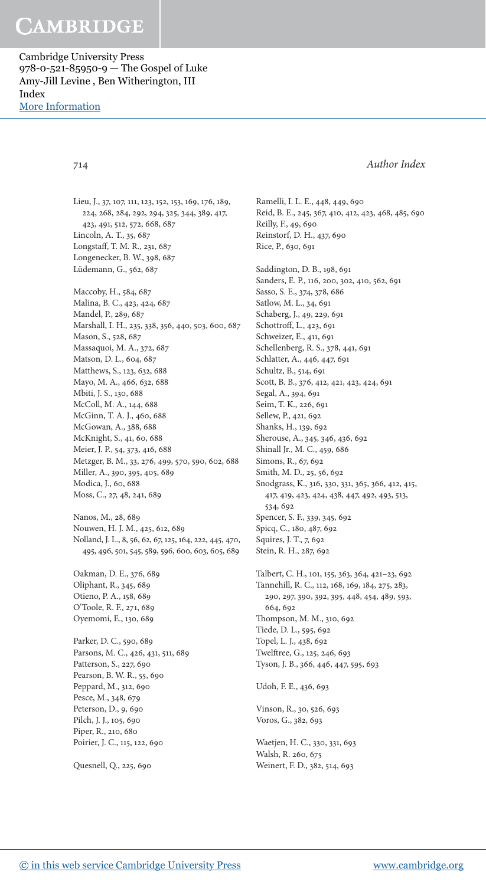Cambridge University Press 978-0-521-85950-9 — The Gospel of Luke Amy-Jill Levine , Ben Witherington, III Index [More Information](www.cambridge.org/9780521859509)

714 Author Index

Lieu, J., 37, 107, 111, 123, 152, 153, 169, 176, 189, 224, 268, 284, 292, 294, 325, 344, 389, 417, 423, 491, 512, 572, 668, 687 Lincoln, A. T., 35, 687 Longstaff, T. M. R., 231, 687 Longenecker, B. W., 398, 687 Lüdemann, G., 562, 687 Maccoby, H., 584, 687

Malina, B. C., 423, 424, 687 Mandel, P., 289, 687 Marshall, I. H., 235, 338, 356, 440, 503, 600, 687 Mason, S., 528, 687 Massaquoi, M. A., 372, 687 Matson, D. L., 604, 687 Matthews, S., 123, 632, 688 Mayo, M. A., 466, 632, 688 Mbiti, J. S., 130, 688 McColl, M. A., 144, 688 McGinn, T. A. J., 460, 688 McGowan, A., 388 , 688 McKnight, S., 41, 60, 688 Meier, J. P., 54, 373, 416, 688 Metzger, B. M., 33, 276, 499, 570, 590, 602, 688 Miller, A., 390, 395, 405, 689 Modica, J., 60, 688 Moss, C., 27, 48, 241, 689

Nanos, M., 28, 689 Nouwen, H. J. M., 425, 612, 689 Nolland, J. L., 8, 56, 62, 67, 125, 164, 222, 445, 470, 495 , 496 , 501 , 545 , 589 , 596 , 600 , 603 , 605 , 689

Oakman, D. E., 376, 689 Oliphant, R., 345, 689 Otieno, P. A., 158, 689 O'Toole, R. F., 271 , 689 Oyemomi, E., 130, 689

Parker, D. C., 590, 689 Parsons, M. C., 426, 431, 511, 689 Patterson, S., 227, 690 Pearson, B. W. R., 55, 690 Peppard, M., 312, 690 Pesce, M., 348, 679 Peterson, D., 9, 690 Pilch, J. J., 105, 690 Piper, R., 210, 680 Poirier, J. C., 115, 122, 690

Quesnell, Q., 225, 690

Ramelli, I. L. E., 448, 449, 690 Reid, B. E., 245, 367, 410, 412, 423, 468, 485, 690 Reilly, F., 49, 690 Reinstorf, D. H., 437, 690 Rice, P., 630 , 691 Saddington, D. B., 198, 691

Sanders, E. P., 116, 200, 302, 410, 562, 691 Sasso, S. E., 374, 378, 686 Satlow, M. L., 34, 691 Schaberg, J., 49, 229, 691 Schottroff, L., 423, 691 Schweizer, E., 411, 691 Schellenberg, R. S., 378, 441, 691 Schlatter, A., 446, 447, 691 Schultz, B., 514, 691 Scott, B. B., 376 , 412 , 421 , 423 , 424 , 691 Segal, A., 394, 691 Seim, T. K., 226, 691 Sellew, P., 421, 692 Shanks, H., 139, 692 Sherouse, A., 345, 346, 436, 692 Shinall Jr., M. C., 459, 686 Simons, R., 67, 692 Smith, M. D., 25, 56, 692 Snodgrass, K., 316, 330, 331, 365, 366, 412, 415, 417 , 419 , 423 , 424 , 438 , 447 , 492 , 493 , 513 , 534, 692 Spencer, S. F., 339, 345, 692 Spicq, C., 180, 487, 692 Squires, J. T., 7, 692 Stein, R. H., 287, 692 Talbert, C. H., 101, 155, 363, 364, 421-23, 692 Tannehill, R. C., 112, 168, 169, 184, 275, 283, 290, 297, 390, 392, 395, 448, 454, 489, 593,

664, 692 Thompson, M. M., 310, 692 Tiede, D. L., 595, 692 Topel, L. J., 438 , 692 Twelftree, G., 125, 246, 693 Tyson, J. B., 366, 446, 447, 595, 693

Udoh, F. E., 436, 693

Vinson, R., 30, 526, 693 Voros, G., 382, 693

Waetjen, H. C., 330, 331, 693 Walsh, R. 260, 675 Weinert, F. D., 382, 514, 693